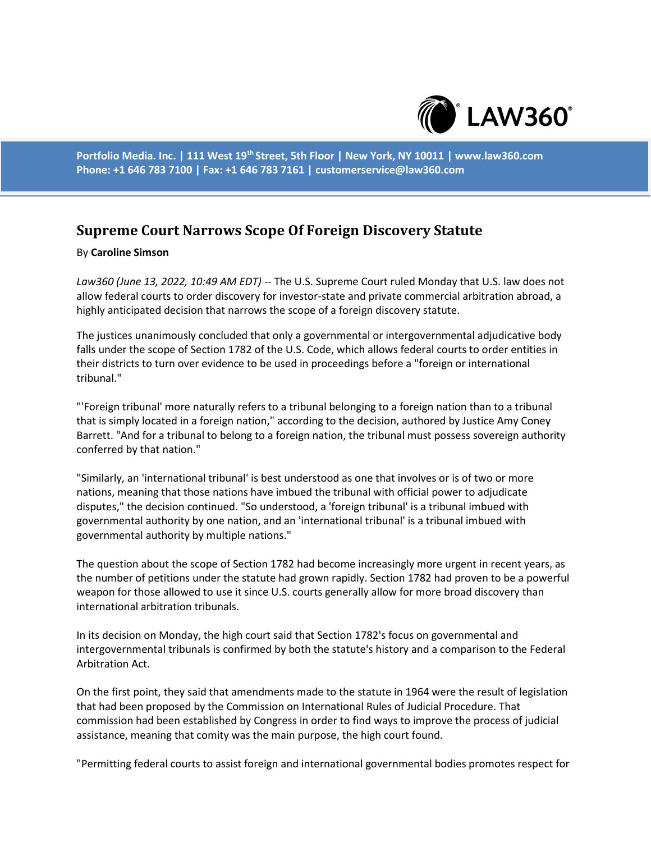

**Portfolio Media. Inc. | 111 West 19th Street, 5th Floor | New York, NY 10011 | www.law360.com Phone: +1 646 783 7100 | Fax: +1 646 783 7161 | customerservice@law360.com**

## **Supreme Court Narrows Scope Of Foreign Discovery Statute**

## By **Caroline Simson**

*Law360 (June 13, 2022, 10:49 AM EDT)* -- The U.S. Supreme Court ruled Monday that U.S. law does not allow federal courts to order discovery for investor-state and private commercial arbitration abroad, a highly anticipated decision that narrows the scope of a foreign discovery statute.

The justices unanimously concluded that only a governmental or intergovernmental adjudicative body falls under the scope of Section 1782 of the U.S. Code, which allows federal courts to order entities in their districts to turn over evidence to be used in proceedings before a "foreign or international tribunal."

"'Foreign tribunal' more naturally refers to a tribunal belonging to a foreign nation than to a tribunal that is simply located in a foreign nation," according to the decision, authored by Justice Amy Coney Barrett. "And for a tribunal to belong to a foreign nation, the tribunal must possess sovereign authority conferred by that nation."

"Similarly, an 'international tribunal' is best understood as one that involves or is of two or more nations, meaning that those nations have imbued the tribunal with official power to adjudicate disputes," the decision continued. "So understood, a 'foreign tribunal' is a tribunal imbued with governmental authority by one nation, and an 'international tribunal' is a tribunal imbued with governmental authority by multiple nations."

The question about the scope of Section 1782 had become increasingly more urgent in recent years, as the number of petitions under the statute had grown rapidly. Section 1782 had proven to be a powerful weapon for those allowed to use it since U.S. courts generally allow for more broad discovery than international arbitration tribunals.

In its decision on Monday, the high court said that Section 1782's focus on governmental and intergovernmental tribunals is confirmed by both the statute's history and a comparison to the Federal Arbitration Act.

On the first point, they said that amendments made to the statute in 1964 were the result of legislation that had been proposed by the Commission on International Rules of Judicial Procedure. That commission had been established by Congress in order to find ways to improve the process of judicial assistance, meaning that comity was the main purpose, the high court found.

"Permitting federal courts to assist foreign and international governmental bodies promotes respect for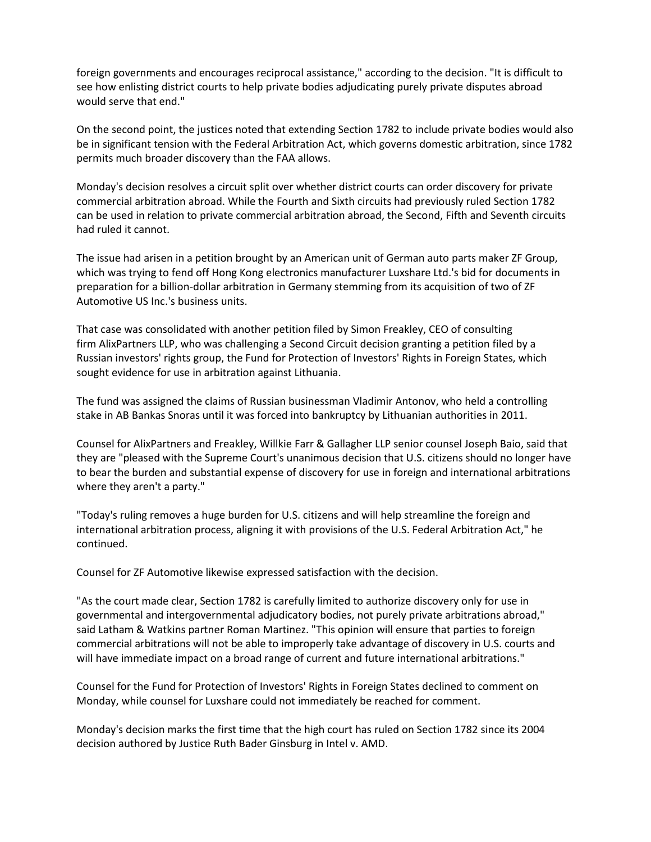foreign governments and encourages reciprocal assistance," according to the decision. "It is difficult to see how enlisting district courts to help private bodies adjudicating purely private disputes abroad would serve that end."

On the second point, the justices noted that extending Section 1782 to include private bodies would also be in significant tension with the Federal Arbitration Act, which governs domestic arbitration, since 1782 permits much broader discovery than the FAA allows.

Monday's decision resolves a circuit split over whether district courts can order discovery for private commercial arbitration abroad. While the Fourth and Sixth circuits had previously ruled Section 1782 can be used in relation to private commercial arbitration abroad, the Second, Fifth and Seventh circuits had ruled it cannot.

The issue had arisen in a petition brought by an American unit of German auto parts maker ZF Group, which was trying to fend off Hong Kong electronics manufacturer Luxshare Ltd.'s bid for documents in preparation for a billion-dollar arbitration in Germany stemming from its acquisition of two of ZF Automotive US Inc.'s business units.

That case was consolidated with another petition filed by Simon Freakley, CEO of consulting firm AlixPartners LLP, who was challenging a Second Circuit decision granting a petition filed by a Russian investors' rights group, the Fund for Protection of Investors' Rights in Foreign States, which sought evidence for use in arbitration against Lithuania.

The fund was assigned the claims of Russian businessman Vladimir Antonov, who held a controlling stake in AB Bankas Snoras until it was forced into bankruptcy by Lithuanian authorities in 2011.

Counsel for AlixPartners and Freakley, Willkie Farr & Gallagher LLP senior counsel Joseph Baio, said that they are "pleased with the Supreme Court's unanimous decision that U.S. citizens should no longer have to bear the burden and substantial expense of discovery for use in foreign and international arbitrations where they aren't a party."

"Today's ruling removes a huge burden for U.S. citizens and will help streamline the foreign and international arbitration process, aligning it with provisions of the U.S. Federal Arbitration Act," he continued.

Counsel for ZF Automotive likewise expressed satisfaction with the decision.

"As the court made clear, Section 1782 is carefully limited to authorize discovery only for use in governmental and intergovernmental adjudicatory bodies, not purely private arbitrations abroad," said Latham & Watkins partner Roman Martinez. "This opinion will ensure that parties to foreign commercial arbitrations will not be able to improperly take advantage of discovery in U.S. courts and will have immediate impact on a broad range of current and future international arbitrations."

Counsel for the Fund for Protection of Investors' Rights in Foreign States declined to comment on Monday, while counsel for Luxshare could not immediately be reached for comment.

Monday's decision marks the first time that the high court has ruled on Section 1782 since its 2004 decision authored by Justice Ruth Bader Ginsburg in Intel v. AMD.